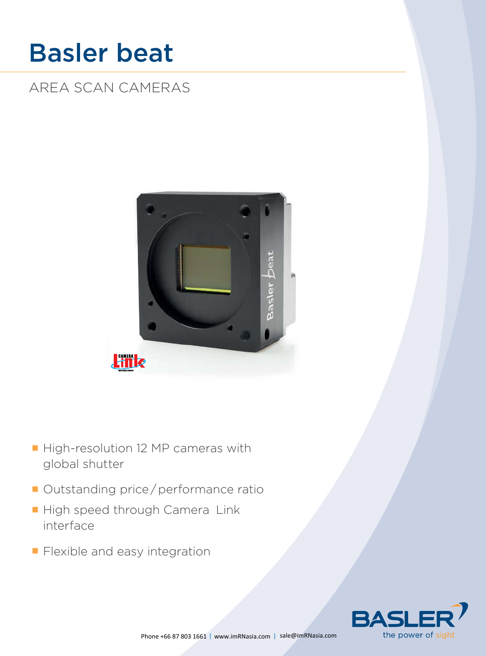# Basler beat

AREA SCAN CAMERAS



- High-resolution 12 MP cameras with global shutter
- Outstanding price/performance ratio
- High speed through Camera Link interface
- **Flexible and easy integration**

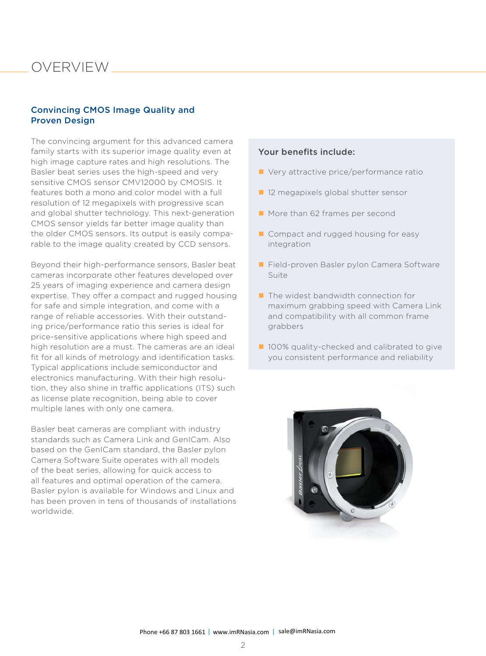### **OVERVIEW**

#### Convincing CMOS Image Quality and Proven Design

The convincing argument for this advanced camera family starts with its superior image quality even at high image capture rates and high resolutions. The Basler beat series uses the high-speed and very sensitive CMOS sensor CMV12000 by CMOSIS. It features both a mono and color model with a full resolution of 12 megapixels with progressive scan and global shutter technology. This next-generation CMOS sensor yields far better image quality than the older CMOS sensors. Its output is easily comparable to the image quality created by CCD sensors.

Beyond their high-performance sensors, Basler beat cameras incorporate other features developed over 25 years of imaging experience and camera design expertise. They offer a compact and rugged housing for safe and simple integration, and come with a range of reliable accessories. With their outstanding price/performance ratio this series is ideal for price-sensitive applications where high speed and high resolution are a must. The cameras are an ideal fit for all kinds of metrology and identification tasks. Typical applications include semiconductor and electronics manufacturing. With their high resolution, they also shine in traffic applications (ITS) such as license plate recognition, being able to cover multiple lanes with only one camera.

Basler beat cameras are compliant with industry standards such as Camera Link and GenICam. Also based on the GenICam standard, the Basler pylon Camera Software Suite operates with all models of the beat series, allowing for quick access to all features and optimal operation of the camera. Basler pylon is available for Windows and Linux and has been proven in tens of thousands of installations worldwide.

#### Your benefits include:

- Very attractive price/performance ratio
- 12 megapixels global shutter sensor
- More than 62 frames per second
- Compact and rugged housing for easy integration
- Field-proven Basler pylon Camera Software Suite
- $\blacksquare$  The widest bandwidth connection for maximum grabbing speed with Camera Link and compatibility with all common frame grabbers
- 100% quality-checked and calibrated to give you consistent performance and reliability

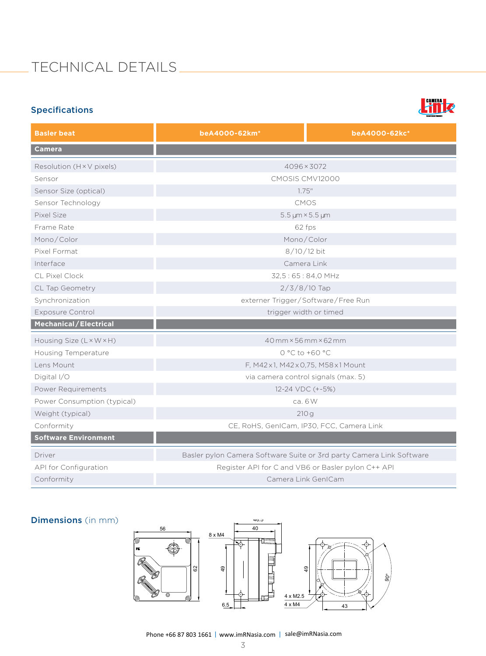# Technical DeTails

#### Specifications



| <b>Basler beat</b>           | beA4000-62km <sup>*</sup>                                            | beA4000-62kc <sup>*</sup> |
|------------------------------|----------------------------------------------------------------------|---------------------------|
| <b>Camera</b>                |                                                                      |                           |
| Resolution (H × V pixels)    | 4096×3072                                                            |                           |
| Sensor                       | CMOSIS CMV12000                                                      |                           |
| Sensor Size (optical)        | 1.75''                                                               |                           |
| Sensor Technology            | <b>CMOS</b>                                                          |                           |
| Pixel Size                   | $5.5 \,\mu m \times 5.5 \,\mu m$                                     |                           |
| Frame Rate                   | 62 fps                                                               |                           |
| Mono/Color                   | Mono/Color                                                           |                           |
| Pixel Format                 | $8/10/12$ bit                                                        |                           |
| Interface                    | Camera Link                                                          |                           |
| <b>CL Pixel Clock</b>        | 32,5:65:84,0 MHz                                                     |                           |
| CL Tap Geometry              | $2/3/8/10$ Tap                                                       |                           |
| Synchronization              | externer Trigger/Software/Free Run                                   |                           |
| <b>Exposure Control</b>      | trigger width or timed                                               |                           |
| <b>Mechanical/Electrical</b> |                                                                      |                           |
| Housing Size (L × W × H)     | 40 mm × 56 mm × 62 mm                                                |                           |
| <b>Housing Temperature</b>   | $0 °C$ to +60 $°C$                                                   |                           |
| Lens Mount                   | F, M42x1, M42x0,75, M58x1 Mount                                      |                           |
| Digital I/O                  | via camera control signals (max. 5)                                  |                           |
| Power Requirements           | 12-24 VDC (+-5%)                                                     |                           |
| Power Consumption (typical)  | ca. 6 W                                                              |                           |
| Weight (typical)             | 210g                                                                 |                           |
| Conformity                   | CE, RoHS, GenICam, IP30, FCC, Camera Link                            |                           |
| <b>Software Environment</b>  |                                                                      |                           |
| Driver                       | Basler pylon Camera Software Suite or 3rd party Camera Link Software |                           |
| API for Configuration        | Register API for C and VB6 or Basler pylon C++ API                   |                           |
| Conformity                   | Camera Link GenICam                                                  |                           |

#### Dimensions (in mm)

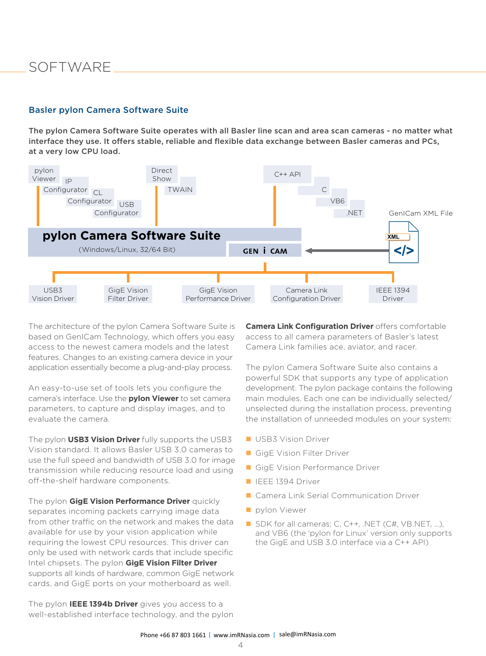### Software

#### Basler pylon Camera Software Suite

The pylon Camera Software Suite operates with all Basler line scan and area scan cameras - no matter what interface they use. It offers stable, reliable and flexible data exchange between Basler cameras and PCs, at a very low CPU load.



The architecture of the pylon Camera Software Suite is based on GenICam Technology, which offers you easy access to the newest camera models and the latest features. Changes to an existing camera device in your application essentially become a plug-and-play process.

An easy-to-use set of tools lets you configure the camera's interface. Use the **pylon Viewer** to set camera parameters, to capture and display images, and to evaluate the camera.

The pylon **USB3 Vision Driver** fully supports the USB3 Vision standard. It allows Basler USB 3.0 cameras to use the full speed and bandwidth of USB 3.0 for image transmission while reducing resource load and using off-the-shelf hardware components.

The pylon **GigE Vision Performance Driver** quickly separates incoming packets carrying image data from other traffic on the network and makes the data available for use by your vision application while requiring the lowest CPU resources. This driver can only be used with network cards that include specific Intel chipsets. The pylon **GigE Vision Filter Driver**  supports all kinds of hardware, common GigE network cards, and GigE ports on your motherboard as well.

The pylon **IEEE 1394b Driver** gives you access to a well-established interface technology, and the pylon **Camera Link Configuration Driver** offers comfortable access to all camera parameters of Basler's latest Camera Link families ace, aviator, and racer.

The pylon Camera Software Suite also contains a powerful SDK that supports any type of application development. The pylon package contains the following main modules. Each one can be individually selected/ unselected during the installation process, preventing the installation of unneeded modules on your system:

- **USB3 Vision Driver**
- GigE Vision Filter Driver
- GigE Vision Performance Driver
- **IEEE 1394 Driver**
- Camera Link Serial Communication Driver
- pylon Viewer
- SDK for all cameras; C, C++, .NET (C#, VB.NET, ...), and VB6 (the 'pylon for Linux' version only supports the GigE and USB 3.0 interface via a C++ API)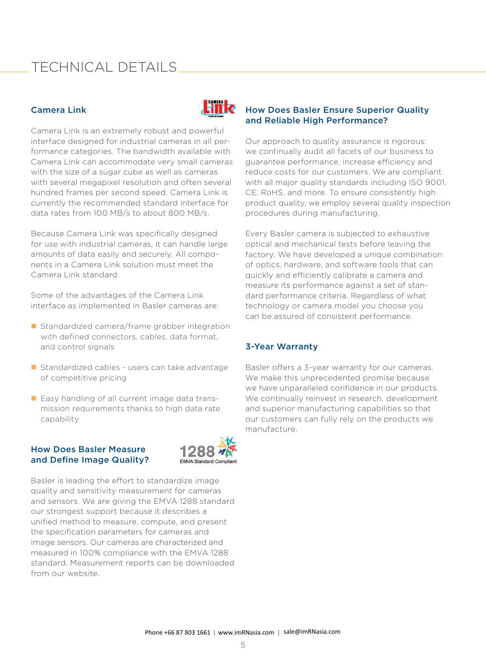### Technical DeTails

#### Camera Link

Camera Link is an extremely robust and powerful interface designed for industrial cameras in all performance categories. The bandwidth available with Camera Link can accommodate very small cameras with the size of a sugar cube as well as cameras with several megapixel resolution and often several hundred frames per second speed. Camera Link is currently the recommended standard interface for data rates from 100 MB/s to about 800 MB/s.

Because Camera Link was specifically designed for use with industrial cameras, it can handle large amounts of data easily and securely. All components in a Camera Link solution must meet the Camera Link standard.

Some of the advantages of the Camera Link interface as implemented in Basler cameras are:

- Standardized camera/frame grabber integration with defined connectors, cables, data format, and control signals
- Standardized cables users can take advantage of competitive pricing
- Easy handling of all current image data transmission requirements thanks to high data rate capability

#### How Does Basler Measure and Define Image Quality?



**Liff**o

Basler is leading the effort to standardize image quality and sensitivity measurement for cameras and sensors. We are giving the EMVA 1288 standard our strongest support because it describes a unified method to measure, compute, and present the specification parameters for cameras and image sensors. Our cameras are characterized and measured in 100% compliance with the EMVA 1288 standard. Measurement reports can be downloaded from our website.

#### How Does Basler Ensure Superior Quality and Reliable High Performance?

Our approach to quality assurance is rigorous: we continually audit all facets of our business to guarantee performance, increase efficiency and reduce costs for our customers. We are compliant with all major quality standards including ISO 9001, CE, RoHS, and more. To ensure consistently high product quality, we employ several quality inspection procedures during manufacturing.

Every Basler camera is subjected to exhaustive optical and mechanical tests before leaving the factory. We have developed a unique combination of optics, hardware, and software tools that can quickly and efficiently calibrate a camera and measure its performance against a set of standard performance criteria. Regardless of what technology or camera model you choose you can be assured of consistent performance.

#### 3-Year Warranty

Basler offers a 3-year warranty for our cameras. We make this unprecedented promise because we have unparalleled confidence in our products. We continually reinvest in research, development and superior manufacturing capabilities so that our customers can fully rely on the products we manufacture.